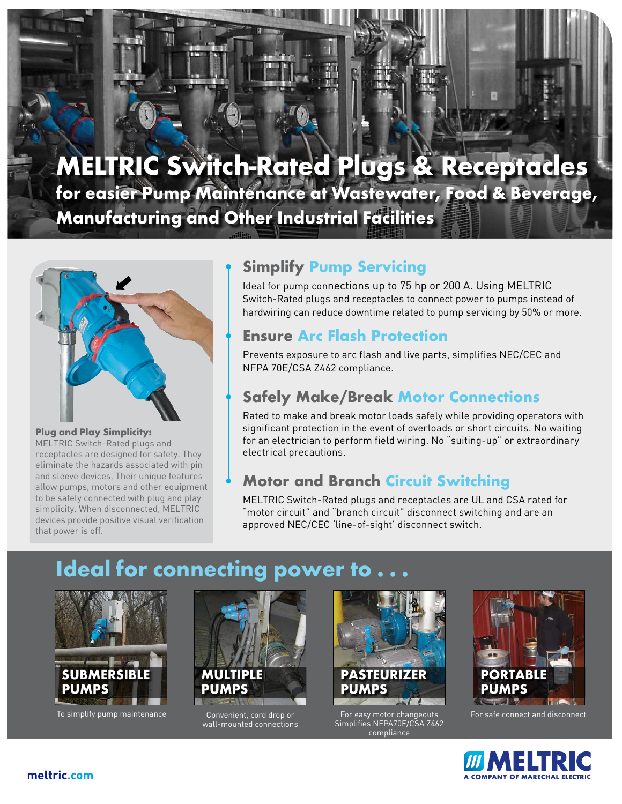# **MELTRIC Switch-Rated Plugs & Receptacles**

**for easier Pump Maintenance at Wastewater, Food & Beverage, Manufacturing and Other Industrial Facilities**



#### **Plug and Play Simplicity:**

MELTRIC Switch-Rated plugs and receptacles are designed for safety. They eliminate the hazards associated with pin and sleeve devices. Their unique features allow pumps, motors and other equipment to be safely connected with plug and play simplicity. When disconnected, MELTRIC devices provide positive visual verification that power is off.

## • **Simplify Pump Servicing**

Ideal for pump connections up to 75 hp or 200 A. Using MELTRIC Switch-Rated plugs and receptacles to connect power to pumps instead of hardwiring can reduce downtime related to pump servicing by 50% or more.

## • **Ensure Arc Flash Protection**

Prevents exposure to arc flash and live parts, simplifies NEC/CEC and NFPA 70E/CSA Z462 compliance.

## • **Safely Make/Break Motor Connections**

Rated to make and break motor loads safely while providing operators with significant protection in the event of overloads or short circuits. No waiting for an electrician to perform field wiring. No "suiting-up" or extraordinary electrical precautions.

## • **Motor and Branch Circuit Switching**

MELTRIC Switch-Rated plugs and receptacles are UL and CSA rated for "motor circuit" and "branch circuit" disconnect switching and are an approved NEC/CEC 'line-of-sight' disconnect switch.

## **Ideal for connecting power to**



To simplify pump maintenance Convenient, cord drop or



wall-mounted connections



For easy motor changeouts Simplifies NFPA70E/CSA Z462 compliance



For safe connect and disconnect